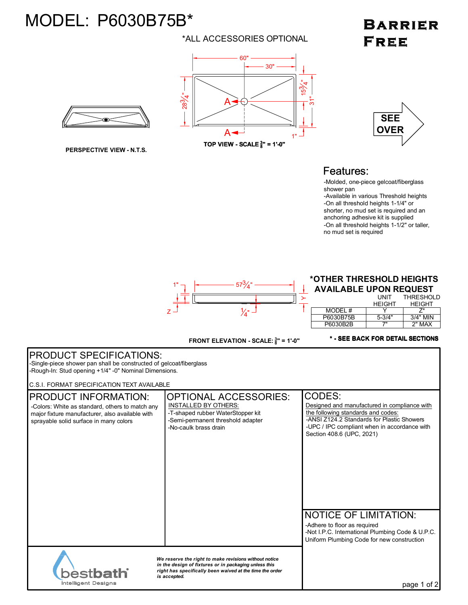## MODEL: P6030B75B\*

### \*ALL ACCESSORIES OPTIONAL

#### 60" 30" 4 $\overline{\mathcal{B}}$ 28 3 4".<br>ನ A  $A -$ - 1 1" **TOP VIEW - SCALE <sup>3</sup> 8 " = 1'-0"**



**PERSPECTIVE VIEW - N.T.S.**

# **SEE OVER**

**BARRIER** 

**FREE** 

### Features:

-Molded, one-piece gelcoat/fiberglass shower pan

-Available in various Threshold heights -On all threshold heights 1-1/4" or shorter, no mud set is required and an anchoring adhesive kit is supplied -On all threshold heights 1-1/2" or taller, no mud set is required



### **\*OTHER THRESHOLD HEIGHTS AVAILABLE UPON REQUEST**

|           | UNIT          | THRESHOLD     |
|-----------|---------------|---------------|
|           | <b>HFIGHT</b> | <b>HEIGHT</b> |
| MODEL #   |               |               |
| P6030B75B | $5 - 3/4"$    | $3/4"$ MIN    |
| P6030B2B  | 7"            | 2" MAX        |

FRONT ELEVATION - SCALE:  $\frac{3}{8}$ " = 1'-0"

**\* - SEE BACK FOR DETAIL SECTIONS**

| <b>PRODUCT SPECIFICATIONS:</b><br>-Single-piece shower pan shall be constructed of gelcoat/fiberglass<br>-Rough-In: Stud opening +1/4" -0" Nominal Dimensions.                                                                             |                                                                                                                                                                |                                                                                                                                                                                                                         |  |
|--------------------------------------------------------------------------------------------------------------------------------------------------------------------------------------------------------------------------------------------|----------------------------------------------------------------------------------------------------------------------------------------------------------------|-------------------------------------------------------------------------------------------------------------------------------------------------------------------------------------------------------------------------|--|
| C.S.I. FORMAT SPECIFICATION TEXT AVAILABLE<br><b>PRODUCT INFORMATION:</b><br>-Colors: White as standard, others to match any<br>major fixture manufacturer, also available with<br>sprayable solid surface in many colors                  | <b>OPTIONAL ACCESSORIES:</b><br><b>INSTALLED BY OTHERS:</b><br>-T-shaped rubber WaterStopper kit<br>-Semi-permanent threshold adapter<br>-No-caulk brass drain | CODES:<br>Designed and manufactured in compliance with<br>the following standards and codes:<br>-ANSI Z124.2 Standards for Plastic Showers<br>-UPC / IPC compliant when in accordance with<br>Section 408.6 (UPC, 2021) |  |
|                                                                                                                                                                                                                                            |                                                                                                                                                                | <b>NOTICE OF LIMITATION:</b><br>-Adhere to floor as required<br>-Not I.P.C. International Plumbing Code & U.P.C.<br>Uniform Plumbing Code for new construction                                                          |  |
| We reserve the right to make revisions without notice<br>in the design of fixtures or in packaging unless this<br>right has specifically been waived at the time the order<br><b>estbath</b><br>is accepted.<br><b>Intelligent Designs</b> |                                                                                                                                                                | page 1 of 2                                                                                                                                                                                                             |  |